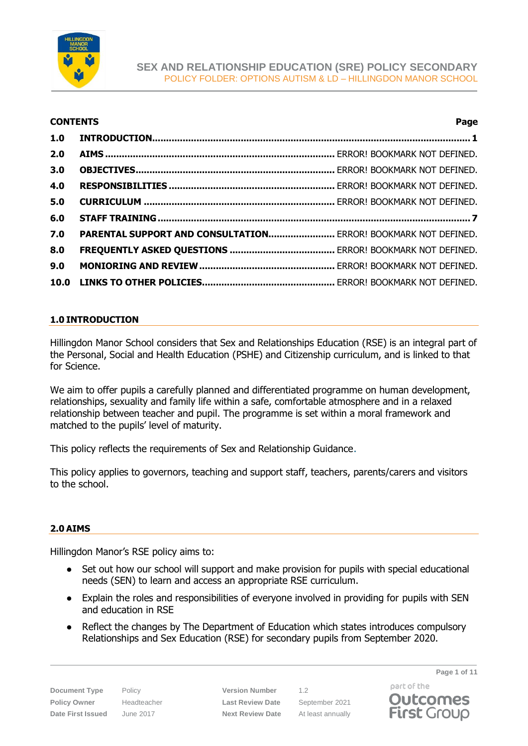

### **CONTENTS Page**

| 2.0 |                                                                |  |  |
|-----|----------------------------------------------------------------|--|--|
| 3.0 |                                                                |  |  |
| 4.0 |                                                                |  |  |
| 5.0 |                                                                |  |  |
|     |                                                                |  |  |
| 6.0 |                                                                |  |  |
| 7.0 | PARENTAL SUPPORT AND CONSULTATION ERROR! BOOKMARK NOT DEFINED. |  |  |
| 8.0 |                                                                |  |  |
| 9.0 |                                                                |  |  |

## <span id="page-0-0"></span>**1.0 INTRODUCTION**

Hillingdon Manor School considers that Sex and Relationships Education (RSE) is an integral part of the Personal, Social and Health Education (PSHE) and Citizenship curriculum, and is linked to that for Science.

We aim to offer pupils a carefully planned and differentiated programme on human development, relationships, sexuality and family life within a safe, comfortable atmosphere and in a relaxed relationship between teacher and pupil. The programme is set within a moral framework and matched to the pupils' level of maturity.

This policy reflects the requirements of Sex and Relationship Guidance.

This policy applies to governors, teaching and support staff, teachers, parents/carers and visitors to the school.

## **2.0 AIMS**

Hillingdon Manor's RSE policy aims to:

- Set out how our school will support and make provision for pupils with special educational needs (SEN) to learn and access an appropriate RSE curriculum.
- Explain the roles and responsibilities of everyone involved in providing for pupils with SEN and education in RSE
- Reflect the changes by The Department of Education which states introduces compulsory Relationships and Sex Education (RSE) for secondary pupils from September 2020.

**Document Type** Policy **Version Number** 1.2 **Policy Owner** Headteacher **Last Review Date** September 2021 **Date First Issued** June 2017 **Next Review Date** At least annually

**Page 1 of 11**

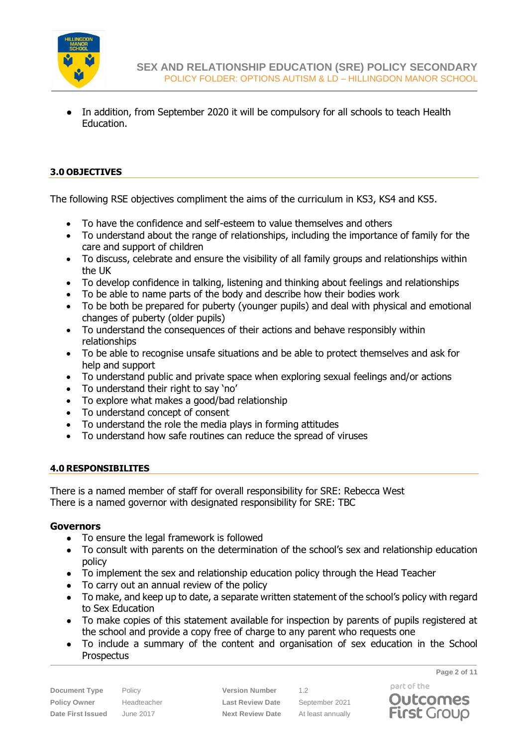

• In addition, from September 2020 it will be compulsory for all schools to teach Health Education.

## **3.0 OBJECTIVES**

The following RSE objectives compliment the aims of the curriculum in KS3, KS4 and KS5.

- To have the confidence and self-esteem to value themselves and others
- To understand about the range of relationships, including the importance of family for the care and support of children
- To discuss, celebrate and ensure the visibility of all family groups and relationships within the UK
- To develop confidence in talking, listening and thinking about feelings and relationships
- To be able to name parts of the body and describe how their bodies work
- To be both be prepared for puberty (younger pupils) and deal with physical and emotional changes of puberty (older pupils)
- To understand the consequences of their actions and behave responsibly within relationships
- To be able to recognise unsafe situations and be able to protect themselves and ask for help and support
- To understand public and private space when exploring sexual feelings and/or actions
- To understand their right to say 'no'
- To explore what makes a good/bad relationship
- To understand concept of consent
- To understand the role the media plays in forming attitudes
- To understand how safe routines can reduce the spread of viruses

## **4.0 RESPONSIBILITES**

There is a named member of staff for overall responsibility for SRE: Rebecca West There is a named governor with designated responsibility for SRE: TBC

## **Governors**

- To ensure the legal framework is followed
- To consult with parents on the determination of the school's sex and relationship education policy
- To implement the sex and relationship education policy through the Head Teacher
- To carry out an annual review of the policy
- To make, and keep up to date, a separate written statement of the school's policy with regard to Sex Education
- To make copies of this statement available for inspection by parents of pupils registered at the school and provide a copy free of charge to any parent who requests one
- To include a summary of the content and organisation of sex education in the School **Prospectus**

**Page 2 of 11**

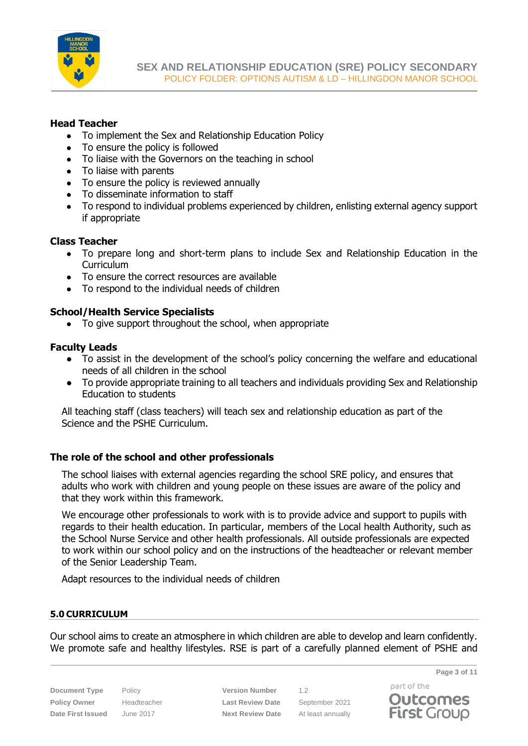

## **Head Teacher**

- To implement the Sex and Relationship Education Policy
- To ensure the policy is followed
- To liaise with the Governors on the teaching in school
- To liaise with parents
- To ensure the policy is reviewed annually
- To disseminate information to staff
- To respond to individual problems experienced by children, enlisting external agency support if appropriate

## **Class Teacher**

- To prepare long and short-term plans to include Sex and Relationship Education in the **Curriculum**
- To ensure the correct resources are available
- To respond to the individual needs of children

## **School/Health Service Specialists**

• To give support throughout the school, when appropriate

## **Faculty Leads**

- To assist in the development of the school's policy concerning the welfare and educational needs of all children in the school
- To provide appropriate training to all teachers and individuals providing Sex and Relationship Education to students

All teaching staff (class teachers) will teach sex and relationship education as part of the Science and the PSHE Curriculum.

## **The role of the school and other professionals**

The school liaises with external agencies regarding the school SRE policy, and ensures that adults who work with children and young people on these issues are aware of the policy and that they work within this framework.

We encourage other professionals to work with is to provide advice and support to pupils with regards to their health education. In particular, members of the Local health Authority, such as the School Nurse Service and other health professionals. All outside professionals are expected to work within our school policy and on the instructions of the headteacher or relevant member of the Senior Leadership Team.

Adapt resources to the individual needs of children

## **5.0 CURRICULUM**

Our school aims to create an atmosphere in which children are able to develop and learn confidently. We promote safe and healthy lifestyles. RSE is part of a carefully planned element of PSHE and

**Document Type** Policy **Version Number** 1.2 **Policy Owner** Headteacher **Last Review Date** September 2021 **Date First Issued** June 2017 **Next Review Date** At least annually

**Page 3 of 11**

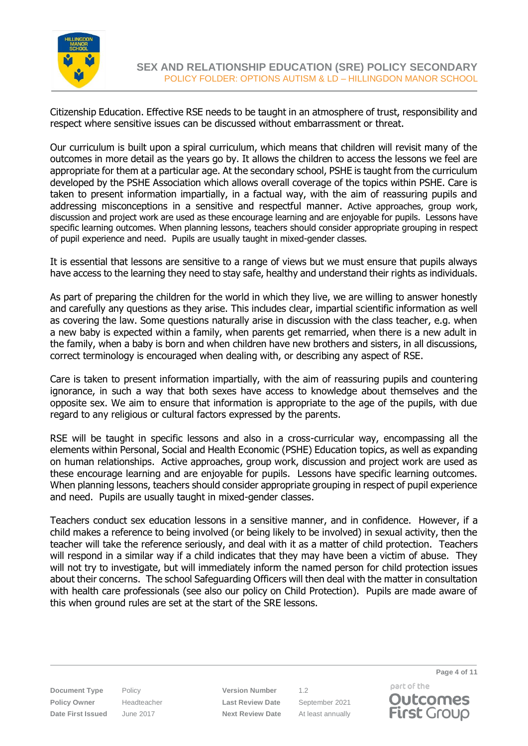

Citizenship Education. Effective RSE needs to be taught in an atmosphere of trust, responsibility and respect where sensitive issues can be discussed without embarrassment or threat.

Our curriculum is built upon a spiral curriculum, which means that children will revisit many of the outcomes in more detail as the years go by. It allows the children to access the lessons we feel are appropriate for them at a particular age. At the secondary school, PSHE is taught from the curriculum developed by the PSHE Association which allows overall coverage of the topics within PSHE. Care is taken to present information impartially, in a factual way, with the aim of reassuring pupils and addressing misconceptions in a sensitive and respectful manner. Active approaches, group work, discussion and project work are used as these encourage learning and are enjoyable for pupils. Lessons have specific learning outcomes. When planning lessons, teachers should consider appropriate grouping in respect of pupil experience and need. Pupils are usually taught in mixed-gender classes.

It is essential that lessons are sensitive to a range of views but we must ensure that pupils always have access to the learning they need to stay safe, healthy and understand their rights as individuals.

As part of preparing the children for the world in which they live, we are willing to answer honestly and carefully any questions as they arise. This includes clear, impartial scientific information as well as covering the law. Some questions naturally arise in discussion with the class teacher, e.g. when a new baby is expected within a family, when parents get remarried, when there is a new adult in the family, when a baby is born and when children have new brothers and sisters, in all discussions, correct terminology is encouraged when dealing with, or describing any aspect of RSE.

Care is taken to present information impartially, with the aim of reassuring pupils and countering ignorance, in such a way that both sexes have access to knowledge about themselves and the opposite sex. We aim to ensure that information is appropriate to the age of the pupils, with due regard to any religious or cultural factors expressed by the parents.

RSE will be taught in specific lessons and also in a cross-curricular way, encompassing all the elements within Personal, Social and Health Economic (PSHE) Education topics, as well as expanding on human relationships. Active approaches, group work, discussion and project work are used as these encourage learning and are enjoyable for pupils. Lessons have specific learning outcomes. When planning lessons, teachers should consider appropriate grouping in respect of pupil experience and need. Pupils are usually taught in mixed-gender classes.

Teachers conduct sex education lessons in a sensitive manner, and in confidence. However, if a child makes a reference to being involved (or being likely to be involved) in sexual activity, then the teacher will take the reference seriously, and deal with it as a matter of child protection. Teachers will respond in a similar way if a child indicates that they may have been a victim of abuse. They will not try to investigate, but will immediately inform the named person for child protection issues about their concerns. The school Safeguarding Officers will then deal with the matter in consultation with health care professionals (see also our policy on Child Protection). Pupils are made aware of this when ground rules are set at the start of the SRE lessons.

**Document Type** Policy **Version Number** 1.2 **Policy Owner** Headteacher **Last Review Date** September 2021 **Date First Issued** June 2017 **Next Review Date** At least annually

part of the **Outcomes First Group** 

**Page 4 of 11**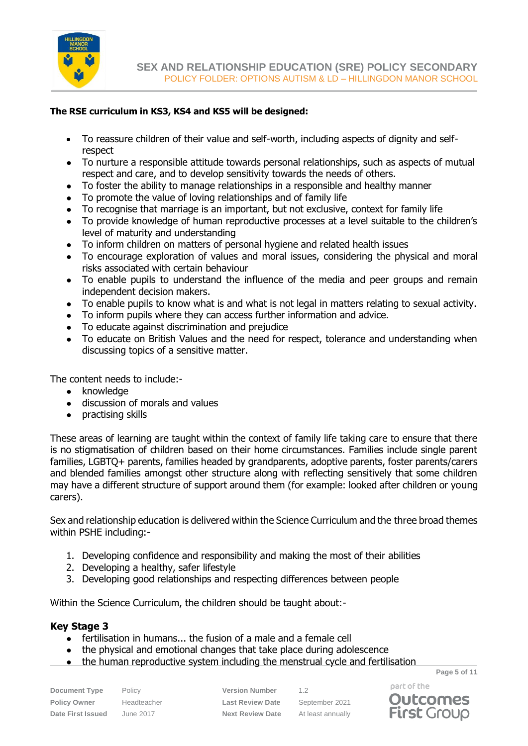

## **The RSE curriculum in KS3, KS4 and KS5 will be designed:**

- To reassure children of their value and self-worth, including aspects of dignity and selfrespect
- To nurture a responsible attitude towards personal relationships, such as aspects of mutual respect and care, and to develop sensitivity towards the needs of others.
- To foster the ability to manage relationships in a responsible and healthy manner
- To promote the value of loving relationships and of family life
- To recognise that marriage is an important, but not exclusive, context for family life
- To provide knowledge of human reproductive processes at a level suitable to the children's level of maturity and understanding
- To inform children on matters of personal hygiene and related health issues
- To encourage exploration of values and moral issues, considering the physical and moral risks associated with certain behaviour
- To enable pupils to understand the influence of the media and peer groups and remain independent decision makers.
- To enable pupils to know what is and what is not legal in matters relating to sexual activity.
- To inform pupils where they can access further information and advice.
- To educate against discrimination and prejudice
- To educate on British Values and the need for respect, tolerance and understanding when discussing topics of a sensitive matter.

The content needs to include:-

- knowledge
- discussion of morals and values
- practising skills

These areas of learning are taught within the context of family life taking care to ensure that there is no stigmatisation of children based on their home circumstances. Families include single parent families, LGBTQ+ parents, families headed by grandparents, adoptive parents, foster parents/carers and blended families amongst other structure along with reflecting sensitively that some children may have a different structure of support around them (for example: looked after children or young carers).

Sex and relationship education is delivered within the Science Curriculum and the three broad themes within PSHE including:-

- 1. Developing confidence and responsibility and making the most of their abilities
- 2. Developing a healthy, safer lifestyle
- 3. Developing good relationships and respecting differences between people

Within the Science Curriculum, the children should be taught about:-

## **Key Stage 3**

- fertilisation in humans... the fusion of a male and a female cell
- the physical and emotional changes that take place during adolescence
- the human reproductive system including the menstrual cycle and fertilisation

**Document Type** Policy **Version Number** 1.2 **Policy Owner** Headteacher **Last Review Date** September 2021 **Date First Issued** June 2017 **Next Review Date** At least annually

**Page 5 of 11**



part of the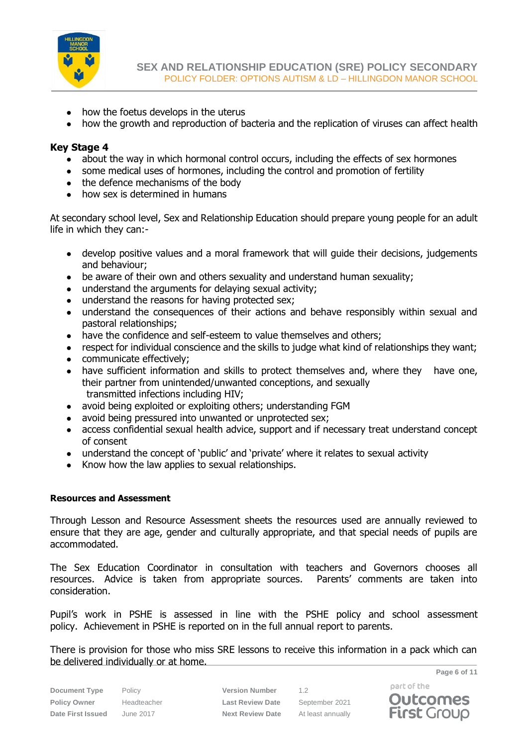

- how the foetus develops in the uterus
- how the growth and reproduction of bacteria and the replication of viruses can affect health

## **Key Stage 4**

- about the way in which hormonal control occurs, including the effects of sex hormones
- some medical uses of hormones, including the control and promotion of fertility
- the defence mechanisms of the body
- how sex is determined in humans

At secondary school level, Sex and Relationship Education should prepare young people for an adult life in which they can:-

- develop positive values and a moral framework that will guide their decisions, judgements and behaviour;
- be aware of their own and others sexuality and understand human sexuality;
- understand the arguments for delaying sexual activity;
- understand the reasons for having protected sex;
- understand the consequences of their actions and behave responsibly within sexual and pastoral relationships;
- have the confidence and self-esteem to value themselves and others:
- respect for individual conscience and the skills to judge what kind of relationships they want;
- communicate effectively;
- have sufficient information and skills to protect themselves and, where they have one, their partner from unintended/unwanted conceptions, and sexually transmitted infections including HIV;
- avoid being exploited or exploiting others; understanding FGM
- avoid being pressured into unwanted or unprotected sex;
- access confidential sexual health advice, support and if necessary treat understand concept of consent
- understand the concept of 'public' and 'private' where it relates to sexual activity
- Know how the law applies to sexual relationships.

## **Resources and Assessment**

Through Lesson and Resource Assessment sheets the resources used are annually reviewed to ensure that they are age, gender and culturally appropriate, and that special needs of pupils are accommodated.

The Sex Education Coordinator in consultation with teachers and Governors chooses all resources. Advice is taken from appropriate sources. Parents' comments are taken into consideration.

Pupil's work in PSHE is assessed in line with the PSHE policy and school assessment policy. Achievement in PSHE is reported on in the full annual report to parents.

**Page 6 of 11** There is provision for those who miss SRE lessons to receive this information in a pack which can be delivered individually or at home.

**Document Type** Policy **Version Number** 1.2

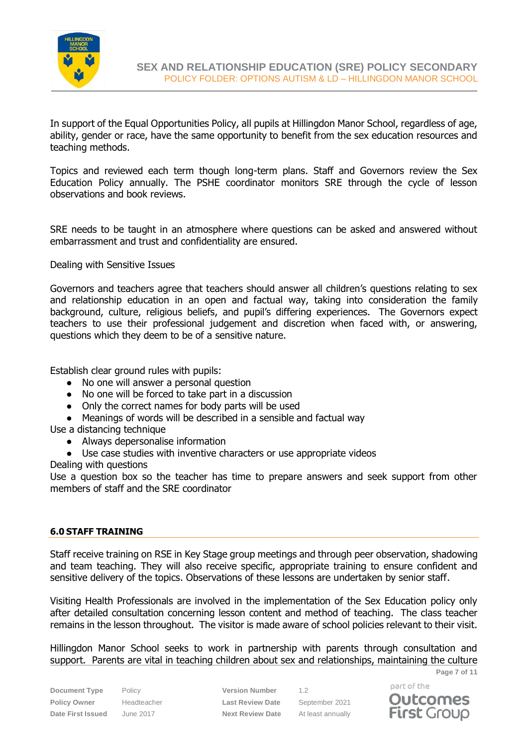

In support of the Equal Opportunities Policy, all pupils at Hillingdon Manor School, regardless of age, ability, gender or race, have the same opportunity to benefit from the sex education resources and teaching methods.

Topics and reviewed each term though long-term plans. Staff and Governors review the Sex Education Policy annually. The PSHE coordinator monitors SRE through the cycle of lesson observations and book reviews.

SRE needs to be taught in an atmosphere where questions can be asked and answered without embarrassment and trust and confidentiality are ensured.

Dealing with Sensitive Issues

Governors and teachers agree that teachers should answer all children's questions relating to sex and relationship education in an open and factual way, taking into consideration the family background, culture, religious beliefs, and pupil's differing experiences. The Governors expect teachers to use their professional judgement and discretion when faced with, or answering, questions which they deem to be of a sensitive nature.

Establish clear ground rules with pupils:

- No one will answer a personal question
- No one will be forced to take part in a discussion
- Only the correct names for body parts will be used
- Meanings of words will be described in a sensible and factual way

Use a distancing technique

- Always depersonalise information
- Use case studies with inventive characters or use appropriate videos

Dealing with questions

Use a question box so the teacher has time to prepare answers and seek support from other members of staff and the SRE coordinator

### <span id="page-6-0"></span>**6.0 STAFF TRAINING**

Staff receive training on RSE in Key Stage group meetings and through peer observation, shadowing and team teaching. They will also receive specific, appropriate training to ensure confident and sensitive delivery of the topics. Observations of these lessons are undertaken by senior staff.

Visiting Health Professionals are involved in the implementation of the Sex Education policy only after detailed consultation concerning lesson content and method of teaching. The class teacher remains in the lesson throughout. The visitor is made aware of school policies relevant to their visit.

**Page 7 of 11** Hillingdon Manor School seeks to work in partnership with parents through consultation and support. Parents are vital in teaching children about sex and relationships, maintaining the culture

**Policy Owner** Headteacher **Last Review Date** September 2021 **Date First Issued** June 2017 **Next Review Date** At least annually

**Document Type** Policy **Version Number** 1.2

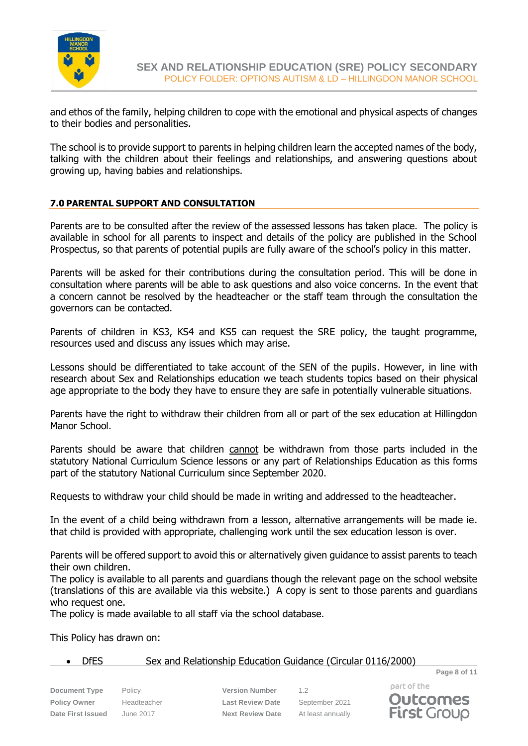

and ethos of the family, helping children to cope with the emotional and physical aspects of changes to their bodies and personalities.

The school is to provide support to parents in helping children learn the accepted names of the body, talking with the children about their feelings and relationships, and answering questions about growing up, having babies and relationships.

## **7.0 PARENTAL SUPPORT AND CONSULTATION**

Parents are to be consulted after the review of the assessed lessons has taken place. The policy is available in school for all parents to inspect and details of the policy are published in the School Prospectus, so that parents of potential pupils are fully aware of the school's policy in this matter.

Parents will be asked for their contributions during the consultation period. This will be done in consultation where parents will be able to ask questions and also voice concerns. In the event that a concern cannot be resolved by the headteacher or the staff team through the consultation the governors can be contacted.

Parents of children in KS3, KS4 and KS5 can request the SRE policy, the taught programme, resources used and discuss any issues which may arise.

Lessons should be differentiated to take account of the SEN of the pupils. However, in line with research about Sex and Relationships education we teach students topics based on their physical age appropriate to the body they have to ensure they are safe in potentially vulnerable situations.

Parents have the right to withdraw their children from all or part of the sex education at Hillingdon Manor School.

Parents should be aware that children cannot be withdrawn from those parts included in the statutory National Curriculum Science lessons or any part of Relationships Education as this forms part of the statutory National Curriculum since September 2020.

Requests to withdraw your child should be made in writing and addressed to the headteacher.

In the event of a child being withdrawn from a lesson, alternative arrangements will be made ie. that child is provided with appropriate, challenging work until the sex education lesson is over.

Parents will be offered support to avoid this or alternatively given guidance to assist parents to teach their own children.

The policy is available to all parents and guardians though the relevant page on the school website (translations of this are available via this website.) A copy is sent to those parents and guardians who request one.

The policy is made available to all staff via the school database.

This Policy has drawn on:

## • DfES Sex and Relationship Education Guidance (Circular 0116/2000)

**Document Type** Policy **Version Number** 1.2 **Policy Owner** Headteacher **Last Review Date** September 2021 **Date First Issued** June 2017 **Next Review Date** At least annually

part of the **Outcomes First Group** 

**Page 8 of 11**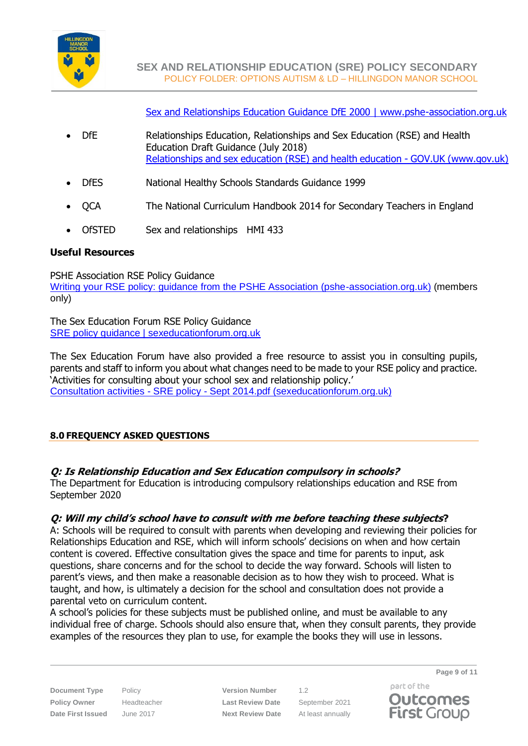

[Sex and Relationships Education Guidance DfE 2000 | www.pshe-association.org.uk](https://www.pshe-association.org.uk/curriculum-and-resources/resources/sex-and-relationships-education-guidance-dfe-2000)

- DfE Relationships Education, Relationships and Sex Education (RSE) and Health Education Draft Guidance (July 2018) [Relationships and sex education \(RSE\) and health education -](https://www.gov.uk/government/publications/relationships-education-relationships-and-sex-education-rse-and-health-education) GOV.UK (www.gov.uk)
- DfES National Healthy Schools Standards Guidance 1999
- QCA The National Curriculum Handbook 2014 for Secondary Teachers in England
- OfSTED Sex and relationships HMI 433

## **Useful Resources**

PSHE Association RSE Policy Guidance [Writing your RSE policy: guidance from the PSHE Association \(pshe-association.org.uk\)](https://www.pshe-association.org.uk/curriculum-and-resources/resources/writing-your-rse-policy-guidance-pshe-association) (members only)

The Sex Education Forum RSE Policy Guidance [SRE policy guidance | sexeducationforum.org.uk](https://www.sexeducationforum.org.uk/resources/advice-guidance/sre-policy-guidance)

The Sex Education Forum have also provided a free resource to assist you in consulting pupils, parents and staff to inform you about what changes need to be made to your RSE policy and practice. 'Activities for consulting about your school sex and relationship policy.' Consultation activities - SRE policy - [Sept 2014.pdf \(sexeducationforum.org.uk\)](https://www.sexeducationforum.org.uk/sites/default/files/field/attachment/Consultation%20activities%20-%20SRE%20policy%20-%20Sept%202014.pdf)

# **8.0 FREQUENCY ASKED QUESTIONS**

# **Q: Is Relationship Education and Sex Education compulsory in schools?**

The Department for Education is introducing compulsory relationships education and RSE from September 2020

## **Q: Will my child's school have to consult with me before teaching these subjects?**

A: Schools will be required to consult with parents when developing and reviewing their policies for Relationships Education and RSE, which will inform schools' decisions on when and how certain content is covered. Effective consultation gives the space and time for parents to input, ask questions, share concerns and for the school to decide the way forward. Schools will listen to parent's views, and then make a reasonable decision as to how they wish to proceed. What is taught, and how, is ultimately a decision for the school and consultation does not provide a parental veto on curriculum content.

A school's policies for these subjects must be published online, and must be available to any individual free of charge. Schools should also ensure that, when they consult parents, they provide examples of the resources they plan to use, for example the books they will use in lessons.

**Policy Owner** Headteacher **Last Review Date** September 2021 **Date First Issued** June 2017 **Next Review Date** At least annually

**Document Type** Policy **Version Number** 1.2

**Page 9 of 11**



part of the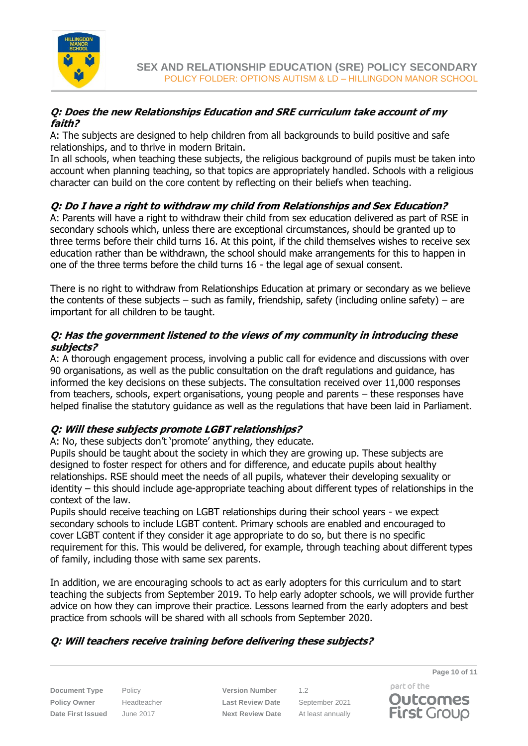

## **Q: Does the new Relationships Education and SRE curriculum take account of my faith?**

A: The subjects are designed to help children from all backgrounds to build positive and safe relationships, and to thrive in modern Britain.

In all schools, when teaching these subjects, the religious background of pupils must be taken into account when planning teaching, so that topics are appropriately handled. Schools with a religious character can build on the core content by reflecting on their beliefs when teaching.

# **Q: Do I have a right to withdraw my child from Relationships and Sex Education?**

A: Parents will have a right to withdraw their child from sex education delivered as part of RSE in secondary schools which, unless there are exceptional circumstances, should be granted up to three terms before their child turns 16. At this point, if the child themselves wishes to receive sex education rather than be withdrawn, the school should make arrangements for this to happen in one of the three terms before the child turns 16 - the legal age of sexual consent.

There is no right to withdraw from Relationships Education at primary or secondary as we believe the contents of these subjects – such as family, friendship, safety (including online safety) – are important for all children to be taught.

## **Q: Has the government listened to the views of my community in introducing these subjects?**

A: A thorough engagement process, involving a public call for evidence and discussions with over 90 organisations, as well as the public consultation on the draft regulations and guidance, has informed the key decisions on these subjects. The consultation received over 11,000 responses from teachers, schools, expert organisations, young people and parents – these responses have helped finalise the statutory guidance as well as the regulations that have been laid in Parliament.

# **Q: Will these subjects promote LGBT relationships?**

A: No, these subjects don't 'promote' anything, they educate.

Pupils should be taught about the society in which they are growing up. These subjects are designed to foster respect for others and for difference, and educate pupils about healthy relationships. RSE should meet the needs of all pupils, whatever their developing sexuality or identity – this should include age-appropriate teaching about different types of relationships in the context of the law.

Pupils should receive teaching on LGBT relationships during their school years - we expect secondary schools to include LGBT content. Primary schools are enabled and encouraged to cover LGBT content if they consider it age appropriate to do so, but there is no specific requirement for this. This would be delivered, for example, through teaching about different types of family, including those with same sex parents.

In addition, we are encouraging schools to act as early adopters for this curriculum and to start teaching the subjects from September 2019. To help early adopter schools, we will provide further advice on how they can improve their practice. Lessons learned from the early adopters and best practice from schools will be shared with all schools from September 2020.

# **Q: Will teachers receive training before delivering these subjects?**

**Document Type** Policy **Version Number** 1.2 **Policy Owner** Headteacher **Last Review Date** September 2021 **Date First Issued** June 2017 **Next Review Date** At least annually

part of the **Outcomes First Group** 

**Page 10 of 11**